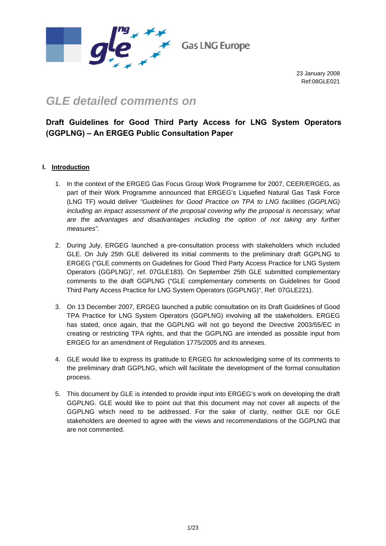

# *GLE detailed comments on*

## **Draft Guidelines for Good Third Party Access for LNG System Operators (GGPLNG) – An ERGEG Public Consultation Paper**

## **I. Introduction**

- 1. In the context of the ERGEG Gas Focus Group Work Programme for 2007, CEER/ERGEG, as part of their Work Programme announced that ERGEG's Liquefied Natural Gas Task Force (LNG TF) would deliver *"Guidelines for Good Practice on TPA to LNG facilities (GGPLNG) including an impact assessment of the proposal covering why the proposal is necessary; what are the advantages and disadvantages including the option of not taking any further measures".*
- 2. During July, ERGEG launched a pre-consultation process with stakeholders which included GLE. On July 25th GLE delivered its initial comments to the preliminary draft GGPLNG to ERGEG ("GLE comments on Guidelines for Good Third Party Access Practice for LNG System Operators (GGPLNG)", ref. 07GLE183). On September 25th GLE submitted complementary comments to the draft GGPLNG ("GLE complementary comments on Guidelines for Good Third Party Access Practice for LNG System Operators (GGPLNG)", Ref: 07GLE221).
- 3. On 13 December 2007, ERGEG launched a public consultation on its Draft Guidelines of Good TPA Practice for LNG System Operators (GGPLNG) involving all the stakeholders. ERGEG has stated, once again, that the GGPLNG will not go beyond the Directive 2003/55/EC in creating or restricting TPA rights, and that the GGPLNG are intended as possible input from ERGEG for an amendment of Regulation 1775/2005 and its annexes.
- 4. GLE would like to express its gratitude to ERGEG for acknowledging some of its comments to the preliminary draft GGPLNG, which will facilitate the development of the formal consultation process.
- 5. This document by GLE is intended to provide input into ERGEG's work on developing the draft GGPLNG. GLE would like to point out that this document may not cover all aspects of the GGPLNG which need to be addressed. For the sake of clarity, neither GLE nor GLE stakeholders are deemed to agree with the views and recommendations of the GGPLNG that are not commented.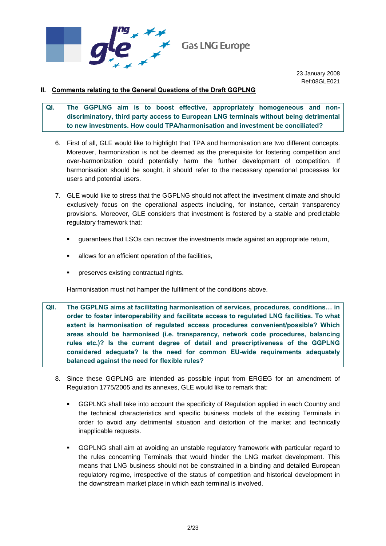

## **II. Comments relating to the General Questions of the Draft GGPLNG**

- **QI. The GGPLNG aim is to boost effective, appropriately homogeneous and nondiscriminatory, third party access to European LNG terminals without being detrimental to new investments. How could TPA/harmonisation and investment be conciliated?** 
	- 6. First of all, GLE would like to highlight that TPA and harmonisation are two different concepts. Moreover, harmonization is not be deemed as the prerequisite for fostering competition and over-harmonization could potentially harm the further development of competition. If harmonisation should be sought, it should refer to the necessary operational processes for users and potential users.
	- 7. GLE would like to stress that the GGPLNG should not affect the investment climate and should exclusively focus on the operational aspects including, for instance, certain transparency provisions. Moreover, GLE considers that investment is fostered by a stable and predictable regulatory framework that:
		- guarantees that LSOs can recover the investments made against an appropriate return,
		- allows for an efficient operation of the facilities,
		- preserves existing contractual rights.

Harmonisation must not hamper the fulfilment of the conditions above.

- **QII. The GGPLNG aims at facilitating harmonisation of services, procedures, conditions… in order to foster interoperability and facilitate access to regulated LNG facilities. To what extent is harmonisation of regulated access procedures convenient/possible? Which areas should be harmonised (i.e. transparency, network code procedures, balancing rules etc.)? Is the current degree of detail and prescriptiveness of the GGPLNG considered adequate? Is the need for common EU-wide requirements adequately balanced against the need for flexible rules?** 
	- 8. Since these GGPLNG are intended as possible input from ERGEG for an amendment of Regulation 1775/2005 and its annexes, GLE would like to remark that:
		- GGPLNG shall take into account the specificity of Regulation applied in each Country and the technical characteristics and specific business models of the existing Terminals in order to avoid any detrimental situation and distortion of the market and technically inapplicable requests.
		- GGPLNG shall aim at avoiding an unstable regulatory framework with particular regard to the rules concerning Terminals that would hinder the LNG market development. This means that LNG business should not be constrained in a binding and detailed European regulatory regime, irrespective of the status of competition and historical development in the downstream market place in which each terminal is involved.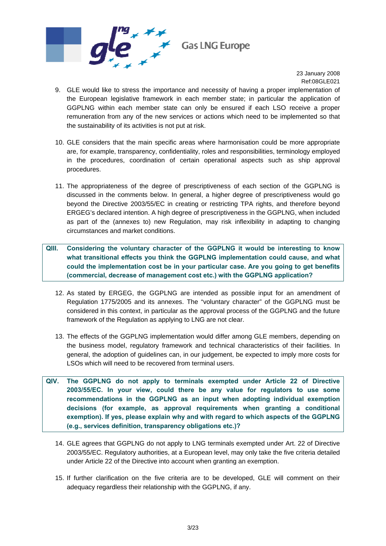

- 9. GLE would like to stress the importance and necessity of having a proper implementation of the European legislative framework in each member state; in particular the application of GGPLNG within each member state can only be ensured if each LSO receive a proper remuneration from any of the new services or actions which need to be implemented so that the sustainability of its activities is not put at risk.
- 10. GLE considers that the main specific areas where harmonisation could be more appropriate are, for example, transparency, confidentiality, roles and responsibilities, terminology employed in the procedures, coordination of certain operational aspects such as ship approval procedures.
- 11. The appropriateness of the degree of prescriptiveness of each section of the GGPLNG is discussed in the comments below. In general, a higher degree of prescriptiveness would go beyond the Directive 2003/55/EC in creating or restricting TPA rights, and therefore beyond ERGEG's declared intention. A high degree of prescriptiveness in the GGPLNG, when included as part of the (annexes to) new Regulation, may risk inflexibility in adapting to changing circumstances and market conditions.
- **QIII. Considering the voluntary character of the GGPLNG it would be interesting to know what transitional effects you think the GGPLNG implementation could cause, and what could the implementation cost be in your particular case. Are you going to get benefits (commercial, decrease of management cost etc.) with the GGPLNG application?** 
	- 12. As stated by ERGEG, the GGPLNG are intended as possible input for an amendment of Regulation 1775/2005 and its annexes. The "voluntary character" of the GGPLNG must be considered in this context, in particular as the approval process of the GGPLNG and the future framework of the Regulation as applying to LNG are not clear.
	- 13. The effects of the GGPLNG implementation would differ among GLE members, depending on the business model, regulatory framework and technical characteristics of their facilities. In general, the adoption of guidelines can, in our judgement, be expected to imply more costs for LSOs which will need to be recovered from terminal users.
- **QIV. The GGPLNG do not apply to terminals exempted under Article 22 of Directive 2003/55/EC. In your view, could there be any value for regulators to use some recommendations in the GGPLNG as an input when adopting individual exemption decisions (for example, as approval requirements when granting a conditional exemption). If yes, please explain why and with regard to which aspects of the GGPLNG (e.g., services definition, transparency obligations etc.)?** 
	- 14. GLE agrees that GGPLNG do not apply to LNG terminals exempted under Art. 22 of Directive 2003/55/EC. Regulatory authorities, at a European level, may only take the five criteria detailed under Article 22 of the Directive into account when granting an exemption.
	- 15. If further clarification on the five criteria are to be developed, GLE will comment on their adequacy regardless their relationship with the GGPLNG, if any.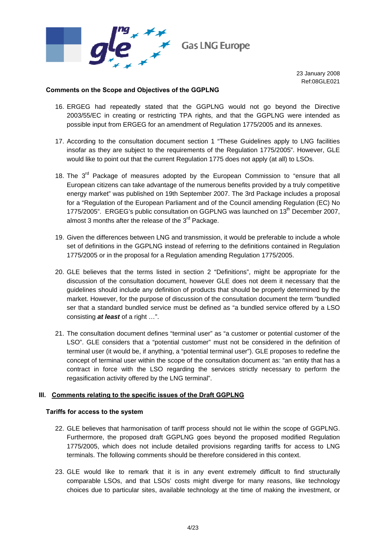

#### **Comments on the Scope and Objectives of the GGPLNG**

- 16. ERGEG had repeatedly stated that the GGPLNG would not go beyond the Directive 2003/55/EC in creating or restricting TPA rights, and that the GGPLNG were intended as possible input from ERGEG for an amendment of Regulation 1775/2005 and its annexes.
- 17. According to the consultation document section 1 "These Guidelines apply to LNG facilities insofar as they are subject to the requirements of the Regulation 1775/2005". However, GLE would like to point out that the current Regulation 1775 does not apply (at all) to LSOs.
- 18. The  $3<sup>rd</sup>$  Package of measures adopted by the European Commission to "ensure that all European citizens can take advantage of the numerous benefits provided by a truly competitive energy market" was published on 19th September 2007. The 3rd Package includes a proposal for a "Regulation of the European Parliament and of the Council amending Regulation (EC) No 1775/2005". ERGEG's public consultation on GGPLNG was launched on 13<sup>th</sup> December 2007, almost 3 months after the release of the 3<sup>rd</sup> Package.
- 19. Given the differences between LNG and transmission, it would be preferable to include a whole set of definitions in the GGPLNG instead of referring to the definitions contained in Regulation 1775/2005 or in the proposal for a Regulation amending Regulation 1775/2005.
- 20. GLE believes that the terms listed in section 2 "Definitions", might be appropriate for the discussion of the consultation document, however GLE does not deem it necessary that the guidelines should include any definition of products that should be properly determined by the market. However, for the purpose of discussion of the consultation document the term "bundled ser that a standard bundled service must be defined as "a bundled service offered by a LSO consisting *at least* of a right …".
- 21. The consultation document defines "terminal user" as "a customer or potential customer of the LSO". GLE considers that a "potential customer" must not be considered in the definition of terminal user (it would be, if anything, a "potential terminal user"). GLE proposes to redefine the concept of terminal user within the scope of the consultation document as: "an entity that has a contract in force with the LSO regarding the services strictly necessary to perform the regasification activity offered by the LNG terminal".

#### **III. Comments relating to the specific issues of the Draft GGPLNG**

#### **Tariffs for access to the system**

- 22. GLE believes that harmonisation of tariff process should not lie within the scope of GGPLNG. Furthermore, the proposed draft GGPLNG goes beyond the proposed modified Regulation 1775/2005, which does not include detailed provisions regarding tariffs for access to LNG terminals. The following comments should be therefore considered in this context.
- 23. GLE would like to remark that it is in any event extremely difficult to find structurally comparable LSOs, and that LSOs' costs might diverge for many reasons, like technology choices due to particular sites, available technology at the time of making the investment, or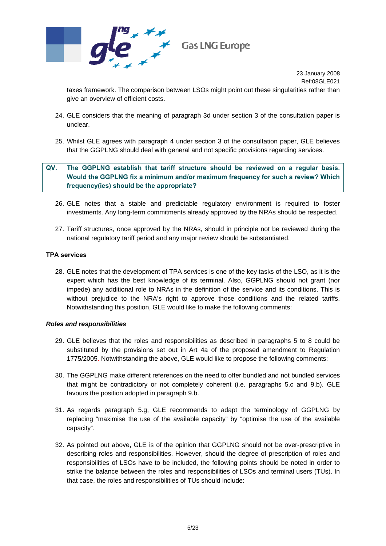

taxes framework. The comparison between LSOs might point out these singularities rather than give an overview of efficient costs.

- 24. GLE considers that the meaning of paragraph 3d under section 3 of the consultation paper is unclear.
- 25. Whilst GLE agrees with paragraph 4 under section 3 of the consultation paper, GLE believes that the GGPLNG should deal with general and not specific provisions regarding services.

## **QV. The GGPLNG establish that tariff structure should be reviewed on a regular basis. Would the GGPLNG fix a minimum and/or maximum frequency for such a review? Which frequency(ies) should be the appropriate?**

- 26. GLE notes that a stable and predictable regulatory environment is required to foster investments. Any long-term commitments already approved by the NRAs should be respected.
- 27. Tariff structures, once approved by the NRAs, should in principle not be reviewed during the national regulatory tariff period and any major review should be substantiated.

#### **TPA services**

28. GLE notes that the development of TPA services is one of the key tasks of the LSO, as it is the expert which has the best knowledge of its terminal. Also, GGPLNG should not grant (nor impede) any additional role to NRAs in the definition of the service and its conditions. This is without prejudice to the NRA's right to approve those conditions and the related tariffs. Notwithstanding this position, GLE would like to make the following comments:

#### *Roles and responsibilities*

- 29. GLE believes that the roles and responsibilities as described in paragraphs 5 to 8 could be substituted by the provisions set out in Art 4a of the proposed amendment to Regulation 1775/2005. Notwithstanding the above, GLE would like to propose the following comments:
- 30. The GGPLNG make different references on the need to offer bundled and not bundled services that might be contradictory or not completely coherent (i.e. paragraphs 5.c and 9.b). GLE favours the position adopted in paragraph 9.b.
- 31. As regards paragraph 5.g, GLE recommends to adapt the terminology of GGPLNG by replacing "maximise the use of the available capacity" by "optimise the use of the available capacity".
- 32. As pointed out above, GLE is of the opinion that GGPLNG should not be over-prescriptive in describing roles and responsibilities. However, should the degree of prescription of roles and responsibilities of LSOs have to be included, the following points should be noted in order to strike the balance between the roles and responsibilities of LSOs and terminal users (TUs). In that case, the roles and responsibilities of TUs should include: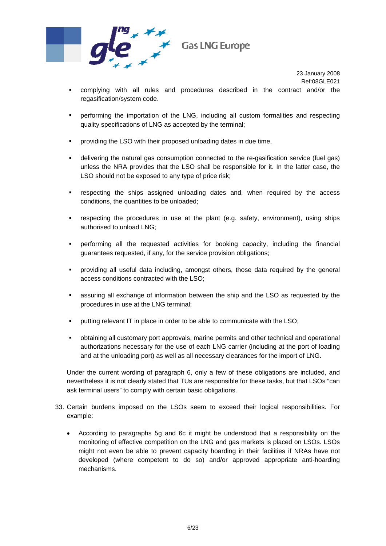

- complying with all rules and procedures described in the contract and/or the regasification/system code.
- performing the importation of the LNG, including all custom formalities and respecting quality specifications of LNG as accepted by the terminal;
- **•** providing the LSO with their proposed unloading dates in due time,
- delivering the natural gas consumption connected to the re-gasification service (fuel gas) unless the NRA provides that the LSO shall be responsible for it. In the latter case, the LSO should not be exposed to any type of price risk;
- respecting the ships assigned unloading dates and, when required by the access conditions, the quantities to be unloaded;
- respecting the procedures in use at the plant (e.g. safety, environment), using ships authorised to unload LNG;
- performing all the requested activities for booking capacity, including the financial guarantees requested, if any, for the service provision obligations;
- providing all useful data including, amongst others, those data required by the general access conditions contracted with the LSO;
- assuring all exchange of information between the ship and the LSO as requested by the procedures in use at the LNG terminal;
- **•** putting relevant IT in place in order to be able to communicate with the LSO;
- obtaining all customary port approvals, marine permits and other technical and operational authorizations necessary for the use of each LNG carrier (including at the port of loading and at the unloading port) as well as all necessary clearances for the import of LNG.

Under the current wording of paragraph 6, only a few of these obligations are included, and nevertheless it is not clearly stated that TUs are responsible for these tasks, but that LSOs "can ask terminal users" to comply with certain basic obligations.

- 33. Certain burdens imposed on the LSOs seem to exceed their logical responsibilities. For example:
	- According to paragraphs 5g and 6c it might be understood that a responsibility on the monitoring of effective competition on the LNG and gas markets is placed on LSOs. LSOs might not even be able to prevent capacity hoarding in their facilities if NRAs have not developed (where competent to do so) and/or approved appropriate anti-hoarding mechanisms.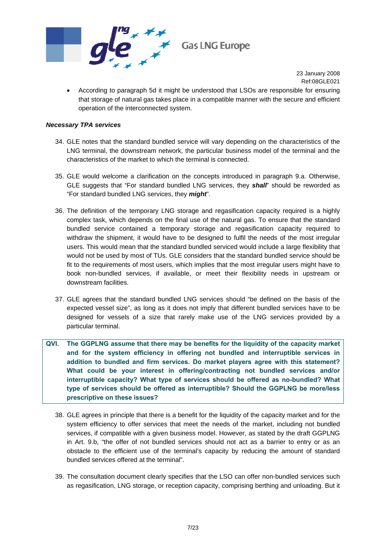

• According to paragraph 5d it might be understood that LSOs are responsible for ensuring that storage of natural gas takes place in a compatible manner with the secure and efficient operation of the interconnected system.

#### *Necessary TPA services*

- 34. GLE notes that the standard bundled service will vary depending on the characteristics of the LNG terminal, the downstream network, the particular business model of the terminal and the characteristics of the market to which the terminal is connected.
- 35. GLE would welcome a clarification on the concepts introduced in paragraph 9.a. Otherwise, GLE suggests that "For standard bundled LNG services, they *shall*" should be reworded as "For standard bundled LNG services, they *might*".
- 36. The definition of the temporary LNG storage and regasification capacity required is a highly complex task, which depends on the final use of the natural gas. To ensure that the standard bundled service contained a temporary storage and regasification capacity required to withdraw the shipment, it would have to be designed to fulfil the needs of the most irregular users. This would mean that the standard bundled serviced would include a large flexibility that would not be used by most of TUs. GLE considers that the standard bundled service should be fit to the requirements of most users, which implies that the most irregular users might have to book non-bundled services, if available, or meet their flexibility needs in upstream or downstream facilities.
- 37. GLE agrees that the standard bundled LNG services should "be defined on the basis of the expected vessel size", as long as it does not imply that different bundled services have to be designed for vessels of a size that rarely make use of the LNG services provided by a particular terminal.
- **QVI. The GGPLNG assume that there may be benefits for the liquidity of the capacity market and for the system efficiency in offering not bundled and interruptible services in addition to bundled and firm services. Do market players agree with this statement? What could be your interest in offering/contracting not bundled services and/or interruptible capacity? What type of services should be offered as no-bundled? What type of services should be offered as interruptible? Should the GGPLNG be more/less prescriptive on these issues?** 
	- 38. GLE agrees in principle that there is a benefit for the liquidity of the capacity market and for the system efficiency to offer services that meet the needs of the market, including not bundled services, if compatible with a given business model. However, as stated by the draft GGPLNG in Art. 9.b, "the offer of not bundled services should not act as a barrier to entry or as an obstacle to the efficient use of the terminal's capacity by reducing the amount of standard bundled services offered at the terminal".
	- 39. The consultation document clearly specifies that the LSO can offer non-bundled services such as regasification, LNG storage, or reception capacity, comprising berthing and unloading. But it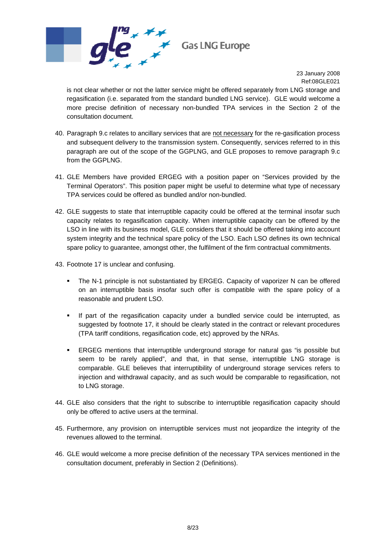

is not clear whether or not the latter service might be offered separately from LNG storage and regasification (i.e. separated from the standard bundled LNG service). GLE would welcome a more precise definition of necessary non-bundled TPA services in the Section 2 of the consultation document.

- 40. Paragraph 9.c relates to ancillary services that are not necessary for the re-gasification process and subsequent delivery to the transmission system. Consequently, services referred to in this paragraph are out of the scope of the GGPLNG, and GLE proposes to remove paragraph 9.c from the GGPLNG.
- 41. GLE Members have provided ERGEG with a position paper on "Services provided by the Terminal Operators". This position paper might be useful to determine what type of necessary TPA services could be offered as bundled and/or non-bundled.
- 42. GLE suggests to state that interruptible capacity could be offered at the terminal insofar such capacity relates to regasification capacity. When interruptible capacity can be offered by the LSO in line with its business model, GLE considers that it should be offered taking into account system integrity and the technical spare policy of the LSO. Each LSO defines its own technical spare policy to guarantee, amongst other, the fulfilment of the firm contractual commitments.
- 43. Footnote 17 is unclear and confusing.
	- The N-1 principle is not substantiated by ERGEG. Capacity of vaporizer N can be offered on an interruptible basis insofar such offer is compatible with the spare policy of a reasonable and prudent LSO.
	- If part of the regasification capacity under a bundled service could be interrupted, as suggested by footnote 17, it should be clearly stated in the contract or relevant procedures (TPA tariff conditions, regasification code, etc) approved by the NRAs.
	- ERGEG mentions that interruptible underground storage for natural gas "is possible but seem to be rarely applied", and that, in that sense, interruptible LNG storage is comparable. GLE believes that interruptibility of underground storage services refers to injection and withdrawal capacity, and as such would be comparable to regasification, not to LNG storage.
- 44. GLE also considers that the right to subscribe to interruptible regasification capacity should only be offered to active users at the terminal.
- 45. Furthermore, any provision on interruptible services must not jeopardize the integrity of the revenues allowed to the terminal.
- 46. GLE would welcome a more precise definition of the necessary TPA services mentioned in the consultation document, preferably in Section 2 (Definitions).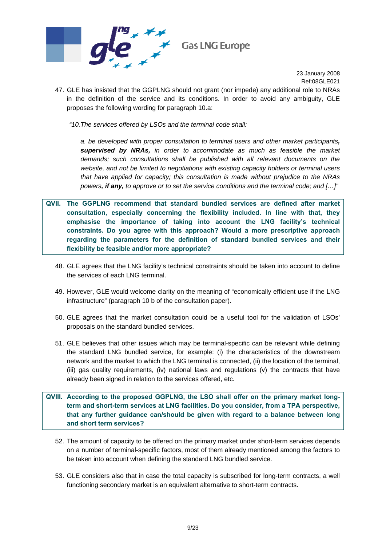

47. GLE has insisted that the GGPLNG should not grant (nor impede) any additional role to NRAs in the definition of the service and its conditions. In order to avoid any ambiguity, GLE proposes the following wording for paragraph 10.a:

*"10.The services offered by LSOs and the terminal code shall:* 

*a. be developed with proper consultation to terminal users and other market participants, supervised by NRAs, in order to accommodate as much as feasible the market demands; such consultations shall be published with all relevant documents on the website, and not be limited to negotiations with existing capacity holders or terminal users that have applied for capacity; this consultation is made without prejudice to the NRAs powers, if any, to approve or to set the service conditions and the terminal code; and […]"* 

- **QVII. The GGPLNG recommend that standard bundled services are defined after market consultation, especially concerning the flexibility included. In line with that, they emphasise the importance of taking into account the LNG facility's technical constraints. Do you agree with this approach? Would a more prescriptive approach regarding the parameters for the definition of standard bundled services and their flexibility be feasible and/or more appropriate?** 
	- 48. GLE agrees that the LNG facility's technical constraints should be taken into account to define the services of each LNG terminal.
	- 49. However, GLE would welcome clarity on the meaning of "economically efficient use if the LNG infrastructure" (paragraph 10 b of the consultation paper).
	- 50. GLE agrees that the market consultation could be a useful tool for the validation of LSOs' proposals on the standard bundled services.
	- 51. GLE believes that other issues which may be terminal-specific can be relevant while defining the standard LNG bundled service, for example: (i) the characteristics of the downstream network and the market to which the LNG terminal is connected, (ii) the location of the terminal, (iii) gas quality requirements, (iv) national laws and regulations (v) the contracts that have already been signed in relation to the services offered, etc.
- **QVIII. According to the proposed GGPLNG, the LSO shall offer on the primary market longterm and short-term services at LNG facilities. Do you consider, from a TPA perspective, that any further guidance can/should be given with regard to a balance between long and short term services?** 
	- 52. The amount of capacity to be offered on the primary market under short-term services depends on a number of terminal-specific factors, most of them already mentioned among the factors to be taken into account when defining the standard LNG bundled service.
	- 53. GLE considers also that in case the total capacity is subscribed for long-term contracts, a well functioning secondary market is an equivalent alternative to short-term contracts.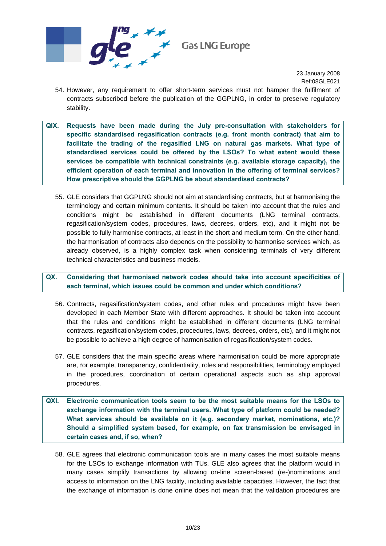

- 54. However, any requirement to offer short-term services must not hamper the fulfilment of contracts subscribed before the publication of the GGPLNG, in order to preserve regulatory stability.
- **QIX. Requests have been made during the July pre-consultation with stakeholders for specific standardised regasification contracts (e.g. front month contract) that aim to facilitate the trading of the regasified LNG on natural gas markets. What type of standardised services could be offered by the LSOs? To what extent would these services be compatible with technical constraints (e.g. available storage capacity), the efficient operation of each terminal and innovation in the offering of terminal services? How prescriptive should the GGPLNG be about standardised contracts?** 
	- 55. GLE considers that GGPLNG should not aim at standardising contracts, but at harmonising the terminology and certain minimum contents. It should be taken into account that the rules and conditions might be established in different documents (LNG terminal contracts, regasification/system codes, procedures, laws, decrees, orders, etc), and it might not be possible to fully harmonise contracts, at least in the short and medium term. On the other hand, the harmonisation of contracts also depends on the possibility to harmonise services which, as already observed, is a highly complex task when considering terminals of very different technical characteristics and business models.
- **QX. Considering that harmonised network codes should take into account specificities of each terminal, which issues could be common and under which conditions?** 
	- 56. Contracts, regasification/system codes, and other rules and procedures might have been developed in each Member State with different approaches. It should be taken into account that the rules and conditions might be established in different documents (LNG terminal contracts, regasification/system codes, procedures, laws, decrees, orders, etc), and it might not be possible to achieve a high degree of harmonisation of regasification/system codes.
	- 57. GLE considers that the main specific areas where harmonisation could be more appropriate are, for example, transparency, confidentiality, roles and responsibilities, terminology employed in the procedures, coordination of certain operational aspects such as ship approval procedures.
- **QXI. Electronic communication tools seem to be the most suitable means for the LSOs to exchange information with the terminal users. What type of platform could be needed? What services should be available on it (e.g. secondary market, nominations, etc.)? Should a simplified system based, for example, on fax transmission be envisaged in certain cases and, if so, when?** 
	- 58. GLE agrees that electronic communication tools are in many cases the most suitable means for the LSOs to exchange information with TUs. GLE also agrees that the platform would in many cases simplify transactions by allowing on-line screen-based (re-)nominations and access to information on the LNG facility, including available capacities. However, the fact that the exchange of information is done online does not mean that the validation procedures are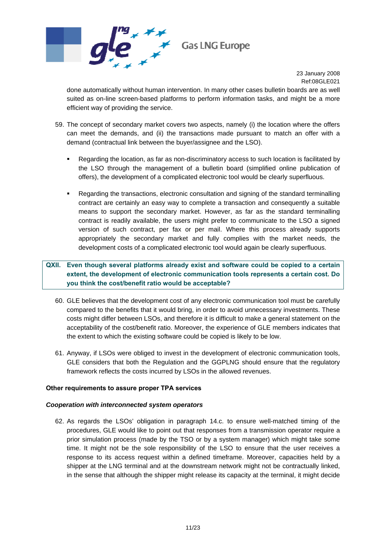

done automatically without human intervention. In many other cases bulletin boards are as well suited as on-line screen-based platforms to perform information tasks, and might be a more efficient way of providing the service.

- <span id="page-10-0"></span>59. The concept of secondary market covers two aspects, namely (i) the location where the offers can meet the demands, and (ii) the transactions made pursuant to match an offer with a demand (contractual link between the buyer/assignee and the LSO).
	- Regarding the location, as far as non-discriminatory access to such location is facilitated by the LSO through the management of a bulletin board (simplified online publication of offers), the development of a complicated electronic tool would be clearly superfluous.
	- Regarding the transactions, electronic consultation and signing of the standard terminalling contract are certainly an easy way to complete a transaction and consequently a suitable means to support the secondary market. However, as far as the standard terminalling contract is readily available, the users might prefer to communicate to the LSO a signed version of such contract, per fax or per mail. Where this process already supports appropriately the secondary market and fully complies with the market needs, the development costs of a complicated electronic tool would again be clearly superfluous.

## **QXII. Even though several platforms already exist and software could be copied to a certain extent, the development of electronic communication tools represents a certain cost. Do you think the cost/benefit ratio would be acceptable?**

- 60. GLE believes that the development cost of any electronic communication tool must be carefully compared to the benefits that it would bring, in order to avoid unnecessary investments. These costs might differ between LSOs, and therefore it is difficult to make a general statement on the acceptability of the cost/benefit ratio. Moreover, the experience of GLE members indicates that the extent to which the existing software could be copied is likely to be low.
- 61. Anyway, if LSOs were obliged to invest in the development of electronic communication tools, GLE considers that both the Regulation and the GGPLNG should ensure that the regulatory framework reflects the costs incurred by LSOs in the allowed revenues.

#### **Other requirements to assure proper TPA services**

#### *Cooperation with interconnected system operators*

62. As regards the LSOs' obligation in paragraph 14.c. to ensure well-matched timing of the procedures, GLE would like to point out that responses from a transmission operator require a prior simulation process (made by the TSO or by a system manager) which might take some time. It might not be the sole responsibility of the LSO to ensure that the user receives a response to its access request within a defined timeframe. Moreover, capacities held by a shipper at the LNG terminal and at the downstream network might not be contractually linked, in the sense that although the shipper might release its capacity at the terminal, it might decide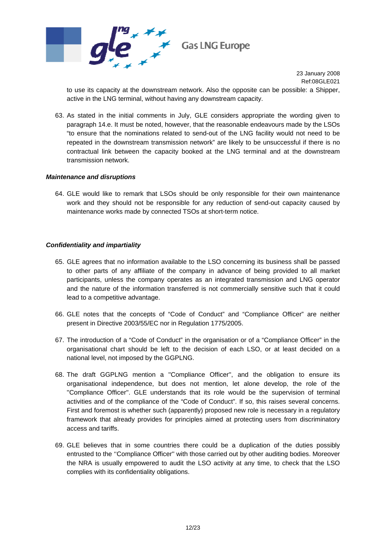

to use its capacity at the downstream network. Also the opposite can be possible: a Shipper, active in the LNG terminal, without having any downstream capacity.

63. As stated in the initial comments in July, GLE considers appropriate the wording given to paragraph 14.e. It must be noted, however, that the reasonable endeavours made by the LSOs "to ensure that the nominations related to send-out of the LNG facility would not need to be repeated in the downstream transmission network" are likely to be unsuccessful if there is no contractual link between the capacity booked at the LNG terminal and at the downstream transmission network.

#### *Maintenance and disruptions*

64. GLE would like to remark that LSOs should be only responsible for their own maintenance work and they should not be responsible for any reduction of send-out capacity caused by maintenance works made by connected TSOs at short-term notice.

#### *Confidentiality and impartiality*

- 65. GLE agrees that no information available to the LSO concerning its business shall be passed to other parts of any affiliate of the company in advance of being provided to all market participants, unless the company operates as an integrated transmission and LNG operator and the nature of the information transferred is not commercially sensitive such that it could lead to a competitive advantage.
- 66. GLE notes that the concepts of "Code of Conduct" and "Compliance Officer" are neither present in Directive 2003/55/EC nor in Regulation 1775/2005.
- 67. The introduction of a "Code of Conduct" in the organisation or of a "Compliance Officer" in the organisational chart should be left to the decision of each LSO, or at least decided on a national level, not imposed by the GGPLNG.
- 68. The draft GGPLNG mention a ''Compliance Officer'', and the obligation to ensure its organisational independence, but does not mention, let alone develop, the role of the ''Compliance Officer''. GLE understands that its role would be the supervision of terminal activities and of the compliance of the "Code of Conduct". If so, this raises several concerns. First and foremost is whether such (apparently) proposed new role is necessary in a regulatory framework that already provides for principles aimed at protecting users from discriminatory access and tariffs.
- 69. GLE believes that in some countries there could be a duplication of the duties possibly entrusted to the ''Compliance Officer'' with those carried out by other auditing bodies. Moreover the NRA is usually empowered to audit the LSO activity at any time, to check that the LSO complies with its confidentiality obligations.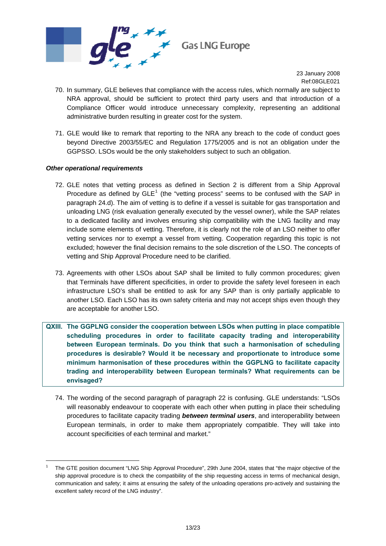

- 70. In summary, GLE believes that compliance with the access rules, which normally are subject to NRA approval, should be sufficient to protect third party users and that introduction of a Compliance Officer would introduce unnecessary complexity, representing an additional administrative burden resulting in greater cost for the system.
- 71. GLE would like to remark that reporting to the NRA any breach to the code of conduct goes beyond Directive 2003/55/EC and Regulation 1775/2005 and is not an obligation under the GGPSSO. LSOs would be the only stakeholders subject to such an obligation.

#### *Other operational requirements*

-

- 72. GLE notes that vetting process as defined in Section 2 is different from a Ship Approval Procedure as defined by  $GLE<sup>1</sup>$  $GLE<sup>1</sup>$  $GLE<sup>1</sup>$  (the "vetting process" seems to be confused with the SAP in paragraph 24.d). The aim of vetting is to define if a vessel is suitable for gas transportation and unloading LNG (risk evaluation generally executed by the vessel owner), while the SAP relates to a dedicated facility and involves ensuring ship compatibility with the LNG facility and may include some elements of vetting. Therefore, it is clearly not the role of an LSO neither to offer vetting services nor to exempt a vessel from vetting. Cooperation regarding this topic is not excluded; however the final decision remains to the sole discretion of the LSO. The concepts of vetting and Ship Approval Procedure need to be clarified.
- 73. Agreements with other LSOs about SAP shall be limited to fully common procedures; given that Terminals have different specificities, in order to provide the safety level foreseen in each infrastructure LSO's shall be entitled to ask for any SAP than is only partially applicable to another LSO. Each LSO has its own safety criteria and may not accept ships even though they are acceptable for another LSO.
- **QXIII. The GGPLNG consider the cooperation between LSOs when putting in place compatible scheduling procedures in order to facilitate capacity trading and interoperability between European terminals. Do you think that such a harmonisation of scheduling procedures is desirable? Would it be necessary and proportionate to introduce some minimum harmonisation of these procedures within the GGPLNG to facilitate capacity trading and interoperability between European terminals? What requirements can be envisaged?** 
	- 74. The wording of the second paragraph of paragraph 22 is confusing. GLE understands: "LSOs will reasonably endeavour to cooperate with each other when putting in place their scheduling procedures to facilitate capacity trading *between terminal users*, and interoperability between European terminals, in order to make them appropriately compatible. They will take into account specificities of each terminal and market."

<span id="page-12-0"></span><sup>1</sup> The GTE position document "LNG Ship Approval Procedure", 29th June 2004, states that "the major objective of the ship approval procedure is to check the compatibility of the ship requesting access in terms of mechanical design, communication and safety; it aims at ensuring the safety of the unloading operations pro-actively and sustaining the excellent safety record of the LNG industry".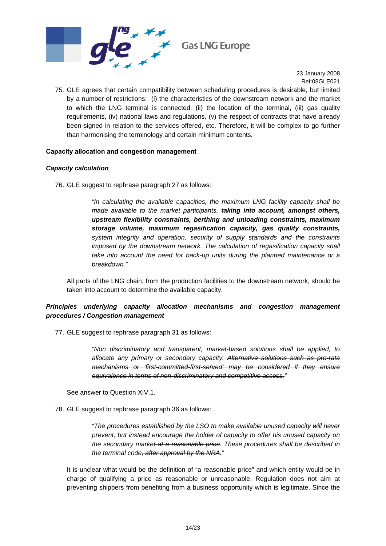

75. GLE agrees that certain compatibility between scheduling procedures is desirable, but limited by a number of restrictions: (i) the characteristics of the downstream network and the market to which the LNG terminal is connected, (ii) the location of the terminal, (iii) gas quality requirements, (iv) national laws and regulations, (v) the respect of contracts that have already been signed in relation to the services offered, etc. Therefore, it will be complex to go further than harmonising the terminology and certain minimum contents.

#### **Capacity allocation and congestion management**

## *Capacity calculation*

76. GLE suggest to rephrase paragraph 27 as follows:

*"In calculating the available capacities, the maximum LNG facility capacity shall be made available to the market participants, taking into account, amongst others, upstream flexibility constraints, berthing and unloading constraints, maximum storage volume, maximum regasification capacity, gas quality constraints, system integrity and operation, security of supply standards and the constraints imposed by the downstream network. The calculation of regasification capacity shall take into account the need for back-up units during the planned maintenance or a breakdown."* 

All parts of the LNG chain, from the production facilities to the downstream network, should be taken into account to determine the available capacity.

## *Principles underlying capacity allocation mechanisms and congestion management procedures / Congestion management*

77. GLE suggest to rephrase paragraph 31 as follows:

*"Non discriminatory and transparent, market-based solutions shall be applied, to allocate any primary or secondary capacity. Alternative solutions such as pro-rata mechanisms or 'first-committed-first-served' may be considered if they ensure equivalence in terms of non-discriminatory and competitive access."* 

See answer to Question XIV.1.

78. GLE suggest to rephrase paragraph 36 as follows:

*"The procedures established by the LSO to make available unused capacity will never prevent, but instead encourage the holder of capacity to offer his unused capacity on the secondary market at a reasonable price. These procedures shall be described in the terminal code, after approval by the NRA."* 

It is unclear what would be the definition of "a reasonable price" and which entity would be in charge of qualifying a price as reasonable or unreasonable. Regulation does not aim at preventing shippers from benefiting from a business opportunity which is legitimate. Since the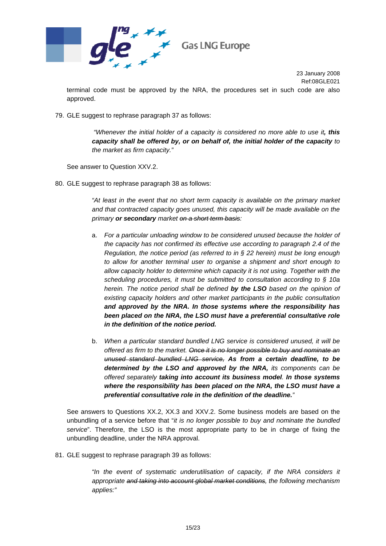

terminal code must be approved by the NRA, the procedures set in such code are also approved.

79. GLE suggest to rephrase paragraph 37 as follows:

 *"Whenever the initial holder of a capacity is considered no more able to use it, this capacity shall be offered by, or on behalf of, the initial holder of the capacity to the market as firm capacity."* 

See answer to Question XXV.2.

80. GLE suggest to rephrase paragraph 38 as follows:

*"At least in the event that no short term capacity is available on the primary market and that contracted capacity goes unused, this capacity will be made available on the primary or secondary market on a short term basis:* 

- a. *For a particular unloading window to be considered unused because the holder of the capacity has not confirmed its effective use according to paragraph 2.4 of the Regulation, the notice period (as referred to in § 22 herein) must be long enough to allow for another terminal user to organise a shipment and short enough to allow capacity holder to determine which capacity it is not using. Together with the scheduling procedures, it must be submitted to consultation according to § 10a herein. The notice period shall be defined by the LSO based on the opinion of existing capacity holders and other market participants in the public consultation and approved by the NRA. In those systems where the responsibility has been placed on the NRA, the LSO must have a preferential consultative role in the definition of the notice period.*
- b. *When a particular standard bundled LNG service is considered unused, it will be offered as firm to the market. Once it is no longer possible to buy and nominate an unused standard bundled LNG service, As from a certain deadline, to be determined by the LSO and approved by the NRA, its components can be offered separately taking into account its business model. In those systems where the responsibility has been placed on the NRA, the LSO must have a preferential consultative role in the definition of the deadline."*

See answers to Questions XX.2, XX.3 and XXV.2. Some business models are based on the unbundling of a service before that "*it is no longer possible to buy and nominate the bundled service*". Therefore, the LSO is the most appropriate party to be in charge of fixing the unbundling deadline, under the NRA approval.

81. GLE suggest to rephrase paragraph 39 as follows:

*"In the event of systematic underutilisation of capacity, if the NRA considers it appropriate and taking into account global market conditions, the following mechanism applies:"*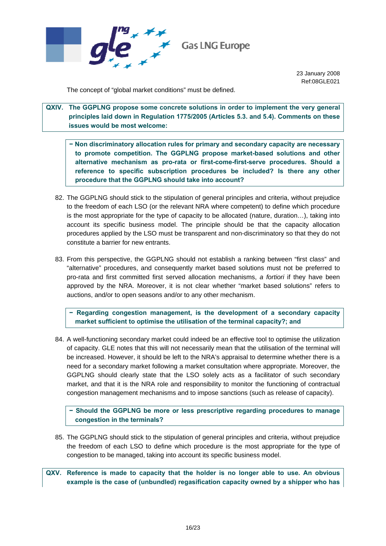

The concept of "global market conditions" must be defined.

**QXIV. The GGPLNG propose some concrete solutions in order to implement the very general principles laid down in Regulation 1775/2005 (Articles 5.3. and 5.4). Comments on these issues would be most welcome:** 

**− Non discriminatory allocation rules for primary and secondary capacity are necessary to promote competition. The GGPLNG propose market-based solutions and other alternative mechanism as pro-rata or first-come-first-serve procedures. Should a reference to specific subscription procedures be included? Is there any other procedure that the GGPLNG should take into account?** 

- 82. The GGPLNG should stick to the stipulation of general principles and criteria, without prejudice to the freedom of each LSO (or the relevant NRA where competent) to define which procedure is the most appropriate for the type of capacity to be allocated (nature, duration…), taking into account its specific business model. The principle should be that the capacity allocation procedures applied by the LSO must be transparent and non-discriminatory so that they do not constitute a barrier for new entrants.
- 83. From this perspective, the GGPLNG should not establish a ranking between "first class" and "alternative" procedures, and consequently market based solutions must not be preferred to pro-rata and first committed first served allocation mechanisms, *a fortiori* if they have been approved by the NRA. Moreover, it is not clear whether "market based solutions" refers to auctions, and/or to open seasons and/or to any other mechanism.

**− Regarding congestion management, is the development of a secondary capacity market sufficient to optimise the utilisation of the terminal capacity?; and** 

84. A well-functioning secondary market could indeed be an effective tool to optimise the utilization of capacity. GLE notes that this will not necessarily mean that the utilisation of the terminal will be increased. However, it should be left to the NRA's appraisal to determine whether there is a need for a secondary market following a market consultation where appropriate. Moreover, the GGPLNG should clearly state that the LSO solely acts as a facilitator of such secondary market, and that it is the NRA role and responsibility to monitor the functioning of contractual congestion management mechanisms and to impose sanctions (such as release of capacity).

**− Should the GGPLNG be more or less prescriptive regarding procedures to manage congestion in the terminals?** 

- 85. The GGPLNG should stick to the stipulation of general principles and criteria, without prejudice the freedom of each LSO to define which procedure is the most appropriate for the type of congestion to be managed, taking into account its specific business model.
- **QXV. Reference is made to capacity that the holder is no longer able to use. An obvious example is the case of (unbundled) regasification capacity owned by a shipper who has**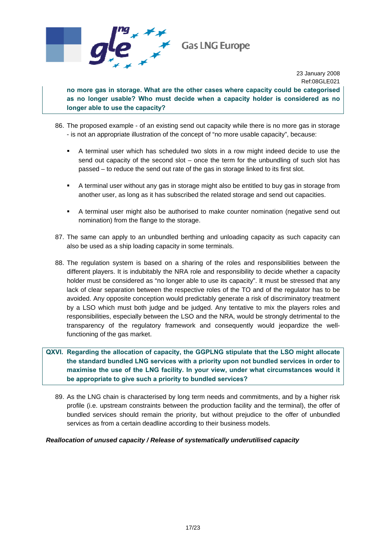

**no more gas in storage. What are the other cases where capacity could be categorised as no longer usable? Who must decide when a capacity holder is considered as no longer able to use the capacity?** 

- 86. The proposed example of an existing send out capacity while there is no more gas in storage - is not an appropriate illustration of the concept of "no more usable capacity", because:
	- A terminal user which has scheduled two slots in a row might indeed decide to use the send out capacity of the second slot – once the term for the unbundling of such slot has passed – to reduce the send out rate of the gas in storage linked to its first slot.
	- A terminal user without any gas in storage might also be entitled to buy gas in storage from another user, as long as it has subscribed the related storage and send out capacities.
	- A terminal user might also be authorised to make counter nomination (negative send out nomination) from the flange to the storage.
- 87. The same can apply to an unbundled berthing and unloading capacity as such capacity can also be used as a ship loading capacity in some terminals.
- 88. The regulation system is based on a sharing of the roles and responsibilities between the different players. It is indubitably the NRA role and responsibility to decide whether a capacity holder must be considered as "no longer able to use its capacity". It must be stressed that any lack of clear separation between the respective roles of the TO and of the regulator has to be avoided. Any opposite conception would predictably generate a risk of discriminatory treatment by a LSO which must both judge and be judged. Any tentative to mix the players roles and responsibilities, especially between the LSO and the NRA, would be strongly detrimental to the transparency of the regulatory framework and consequently would jeopardize the wellfunctioning of the gas market.

## **QXVI. Regarding the allocation of capacity, the GGPLNG stipulate that the LSO might allocate the standard bundled LNG services with a priority upon not bundled services in order to maximise the use of the LNG facility. In your view, under what circumstances would it be appropriate to give such a priority to bundled services?**

89. As the LNG chain is characterised by long term needs and commitments, and by a higher risk profile (i.e. upstream constraints between the production facility and the terminal), the offer of bundled services should remain the priority, but without prejudice to the offer of unbundled services as from a certain deadline according to their business models.

#### *Reallocation of unused capacity / Release of systematically underutilised capacity*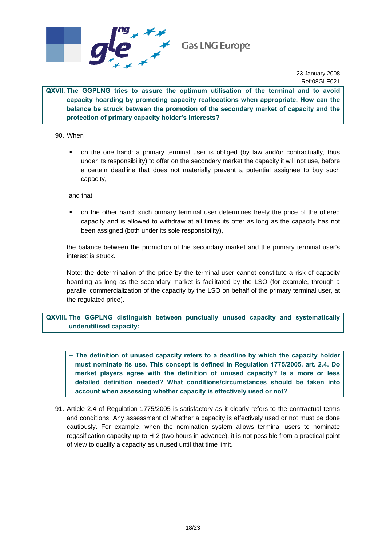

**QXVII. The GGPLNG tries to assure the optimum utilisation of the terminal and to avoid capacity hoarding by promoting capacity reallocations when appropriate. How can the balance be struck between the promotion of the secondary market of capacity and the protection of primary capacity holder's interests?** 

90. When

 on the one hand: a primary terminal user is obliged (by law and/or contractually, thus under its responsibility) to offer on the secondary market the capacity it will not use, before a certain deadline that does not materially prevent a potential assignee to buy such capacity,

and that

 on the other hand: such primary terminal user determines freely the price of the offered capacity and is allowed to withdraw at all times its offer as long as the capacity has not been assigned (both under its sole responsibility),

the balance between the promotion of the secondary market and the primary terminal user's interest is struck.

Note: the determination of the price by the terminal user cannot constitute a risk of capacity hoarding as long as the secondary market is facilitated by the LSO (for example, through a parallel commercialization of the capacity by the LSO on behalf of the primary terminal user, at the regulated price).

**QXVIII. The GGPLNG distinguish between punctually unused capacity and systematically underutilised capacity:** 

**− The definition of unused capacity refers to a deadline by which the capacity holder must nominate its use. This concept is defined in Regulation 1775/2005, art. 2.4. Do market players agree with the definition of unused capacity? Is a more or less detailed definition needed? What conditions/circumstances should be taken into account when assessing whether capacity is effectively used or not?** 

91. Article 2.4 of Regulation 1775/2005 is satisfactory as it clearly refers to the contractual terms and conditions. Any assessment of whether a capacity is effectively used or not must be done cautiously. For example, when the nomination system allows terminal users to nominate regasification capacity up to H-2 (two hours in advance), it is not possible from a practical point of view to qualify a capacity as unused until that time limit.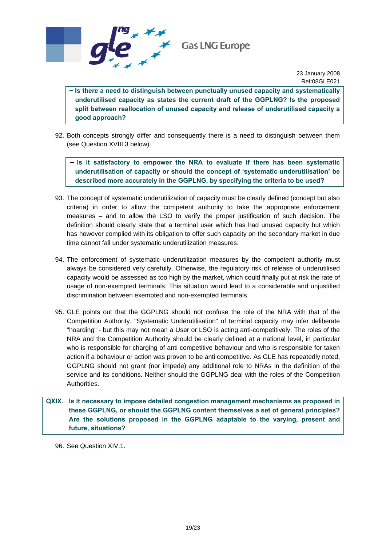

**− Is there a need to distinguish between punctually unused capacity and systematically underutilised capacity as states the current draft of the GGPLNG? Is the proposed split between reallocation of unused capacity and release of underutilised capacity a good approach?** 

92. Both concepts strongly differ and consequently there is a need to distinguish between them (see Question XVIII.3 below).

− **Is it satisfactory to empower the NRA to evaluate if there has been systematic underutilisation of capacity or should the concept of 'systematic underutilisation' be described more accurately in the GGPLNG, by specifying the criteria to be used?** 

- 93. The concept of systematic underutilization of capacity must be clearly defined (concept but also criteria) in order to allow the competent authority to take the appropriate enforcement measures – and to allow the LSO to verify the proper justification of such decision. The definition should clearly state that a terminal user which has had unused capacity but which has however complied with its obligation to offer such capacity on the secondary market in due time cannot fall under systematic underutilization measures.
- 94. The enforcement of systematic underutilization measures by the competent authority must always be considered very carefully. Otherwise, the regulatory risk of release of underutilised capacity would be assessed as too high by the market, which could finally put at risk the rate of usage of non-exempted terminals. This situation would lead to a considerable and unjustified discrimination between exempted and non-exempted terminals.
- 95. GLE points out that the GGPLNG should not confuse the role of the NRA with that of the Competition Authority. "Systematic Underutilisation" of terminal capacity may infer deliberate "hoarding" - but this may not mean a User or LSO is acting anti-competitively. The roles of the NRA and the Competition Authority should be clearly defined at a national level, in particular who is responsible for charging of anti competitive behaviour and who is responsible for taken action if a behaviour or action was proven to be anti competitive. As GLE has repeatedly noted, GGPLNG should not grant (nor impede) any additional role to NRAs in the definition of the service and its conditions. Neither should the GGPLNG deal with the roles of the Competition Authorities.

**QXIX. Is it necessary to impose detailed congestion management mechanisms as proposed in these GGPLNG, or should the GGPLNG content themselves a set of general principles? Are the solutions proposed in the GGPLNG adaptable to the varying, present and future, situations?** 

96. See Question XIV.1.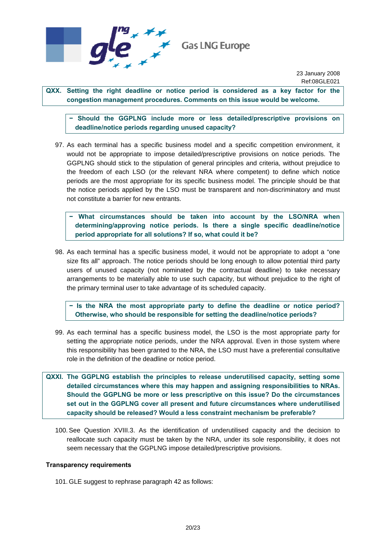

**QXX. Setting the right deadline or notice period is considered as a key factor for the congestion management procedures. Comments on this issue would be welcome.** 

**− Should the GGPLNG include more or less detailed/prescriptive provisions on deadline/notice periods regarding unused capacity?** 

97. As each terminal has a specific business model and a specific competition environment, it would not be appropriate to impose detailed/prescriptive provisions on notice periods. The GGPLNG should stick to the stipulation of general principles and criteria, without prejudice to the freedom of each LSO (or the relevant NRA where competent) to define which notice periods are the most appropriate for its specific business model. The principle should be that the notice periods applied by the LSO must be transparent and non-discriminatory and must not constitute a barrier for new entrants.

**− What circumstances should be taken into account by the LSO/NRA when determining/approving notice periods. Is there a single specific deadline/notice period appropriate for all solutions? If so, what could it be?** 

98. As each terminal has a specific business model, it would not be appropriate to adopt a "one size fits all" approach. The notice periods should be long enough to allow potential third party users of unused capacity (not nominated by the contractual deadline) to take necessary arrangements to be materially able to use such capacity, but without prejudice to the right of the primary terminal user to take advantage of its scheduled capacity.

**ls the NRA the most appropriate party to define the deadline or notice period? Otherwise, who should be responsible for setting the deadline/notice periods?** 

99. As each terminal has a specific business model, the LSO is the most appropriate party for setting the appropriate notice periods, under the NRA approval. Even in those system where this responsibility has been granted to the NRA, the LSO must have a preferential consultative role in the definition of the deadline or notice period.

**QXXI. The GGPLNG establish the principles to release underutilised capacity, setting some detailed circumstances where this may happen and assigning responsibilities to NRAs. Should the GGPLNG be more or less prescriptive on this issue? Do the circumstances set out in the GGPLNG cover all present and future circumstances where underutilised capacity should be released? Would a less constraint mechanism be preferable?** 

100. See Question XVIII.3. As the identification of underutilised capacity and the decision to reallocate such capacity must be taken by the NRA, under its sole responsibility, it does not seem necessary that the GGPLNG impose detailed/prescriptive provisions.

#### **Transparency requirements**

101. GLE suggest to rephrase paragraph 42 as follows: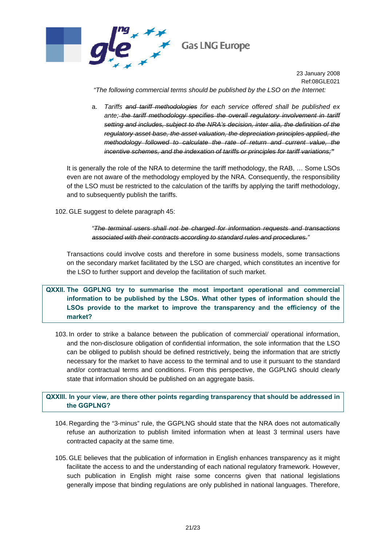

 *"The following commercial terms should be published by the LSO on the Internet:* 

a. *Tariffs and tariff methodologies for each service offered shall be published ex*  ante; the tariff methodology specifies the overall regulatory involvement in tariff *setting and includes, subject to the NRA's decision, inter alia, the definition of the regulatory asset base, the asset valuation, the depreciation principles applied, the methodology followed to calculate the rate of return and current value, the incentive schemes, and the indexation of tariffs or principles for tariff variations;"*

It is generally the role of the NRA to determine the tariff methodology, the RAB, … Some LSOs even are not aware of the methodology employed by the NRA. Consequently, the responsibility of the LSO must be restricted to the calculation of the tariffs by applying the tariff methodology, and to subsequently publish the tariffs.

102. GLE suggest to delete paragraph 45:

## *"The terminal users shall not be charged for information requests and transactions associated with their contracts according to standard rules and procedures."*

Transactions could involve costs and therefore in some business models, some transactions on the secondary market facilitated by the LSO are charged, which constitutes an incentive for the LSO to further support and develop the facilitation of such market.

**QXXII. The GGPLNG try to summarise the most important operational and commercial information to be published by the LSOs. What other types of information should the LSOs provide to the market to improve the transparency and the efficiency of the market?** 

103. In order to strike a balance between the publication of commercial/ operational information, and the non-disclosure obligation of confidential information, the sole information that the LSO can be obliged to publish should be defined restrictively, being the information that are strictly necessary for the market to have access to the terminal and to use it pursuant to the standard and/or contractual terms and conditions. From this perspective, the GGPLNG should clearly state that information should be published on an aggregate basis.

**QXXIII. In your view, are there other points regarding transparency that should be addressed in the GGPLNG?** 

- 104. Regarding the "3-minus" rule, the GGPLNG should state that the NRA does not automatically refuse an authorization to publish limited information when at least 3 terminal users have contracted capacity at the same time.
- 105. GLE believes that the publication of information in English enhances transparency as it might facilitate the access to and the understanding of each national regulatory framework. However, such publication in English might raise some concerns given that national legislations generally impose that binding regulations are only published in national languages. Therefore,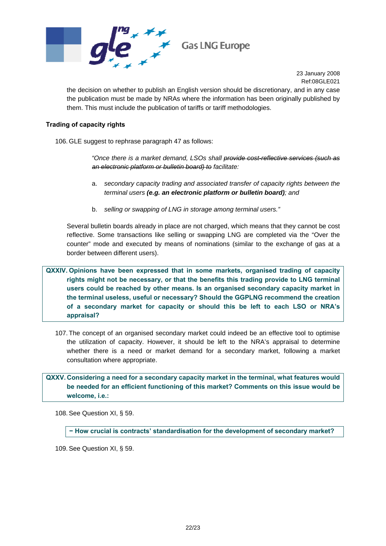

the decision on whether to publish an English version should be discretionary, and in any case the publication must be made by NRAs where the information has been originally published by them. This must include the publication of tariffs or tariff methodologies.

#### **Trading of capacity rights**

106. GLE suggest to rephrase paragraph 47 as follows:

*"Once there is a market demand, LSOs shall provide cost-reflective services (such as an electronic platform or bulletin board) to facilitate:* 

- a. *secondary capacity trading and associated transfer of capacity rights between the terminal users (e.g. an electronic platform or bulletin board); and*
- b. *selling or swapping of LNG in storage among terminal users."*

Several bulletin boards already in place are not charged, which means that they cannot be cost reflective. Some transactions like selling or swapping LNG are completed via the "Over the counter" mode and executed by means of nominations (similar to the exchange of gas at a border between different users).

**QXXIV. Opinions have been expressed that in some markets, organised trading of capacity rights might not be necessary, or that the benefits this trading provide to LNG terminal users could be reached by other means. Is an organised secondary capacity market in the terminal useless, useful or necessary? Should the GGPLNG recommend the creation of a secondary market for capacity or should this be left to each LSO or NRA's appraisal?** 

107. The concept of an organised secondary market could indeed be an effective tool to optimise the utilization of capacity. However, it should be left to the NRA's appraisal to determine whether there is a need or market demand for a secondary market, following a market consultation where appropriate.

## **QXXV. Considering a need for a secondary capacity market in the terminal, what features would be needed for an efficient functioning of this market? Comments on this issue would be welcome, i.e.:**

108. See Question XI, § [59](#page-10-0).

**− How crucial is contracts' standardisation for the development of secondary market?** 

109. See Question XI, § [59](#page-10-0).